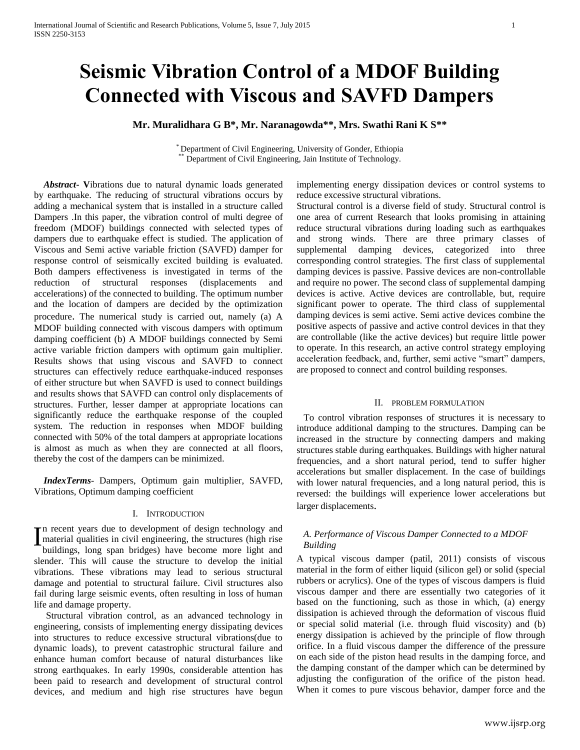# **Seismic Vibration Control of a MDOF Building Connected with Viscous and SAVFD Dampers**

**Mr. Muralidhara G B\*, Mr. Naranagowda\*\*, Mrs. Swathi Rani K S\*\***

\* Department of Civil Engineering, University of Gonder, Ethiopia Department of Civil Engineering, Jain Institute of Technology.

 *Abstract***- V**ibrations due to natural dynamic loads generated by earthquake. The reducing of structural vibrations occurs by adding a mechanical system that is installed in a structure called Dampers .In this paper, the vibration control of multi degree of freedom (MDOF) buildings connected with selected types of dampers due to earthquake effect is studied. The application of Viscous and Semi active variable friction (SAVFD) damper for response control of seismically excited building is evaluated. Both dampers effectiveness is investigated in terms of the reduction of structural responses (displacements and accelerations) of the connected to building. The optimum number and the location of dampers are decided by the optimization procedure. The numerical study is carried out, namely (a) A MDOF building connected with viscous dampers with optimum damping coefficient (b) A MDOF buildings connected by Semi active variable friction dampers with optimum gain multiplier. Results shows that using viscous and SAVFD to connect structures can effectively reduce earthquake-induced responses of either structure but when SAVFD is used to connect buildings and results shows that SAVFD can control only displacements of structures. Further, lesser damper at appropriate locations can significantly reduce the earthquake response of the coupled system. The reduction in responses when MDOF building connected with 50% of the total dampers at appropriate locations is almost as much as when they are connected at all floors, thereby the cost of the dampers can be minimized.

 *IndexTerms*- Dampers, Optimum gain multiplier, SAVFD, Vibrations, Optimum damping coefficient

#### I. INTRODUCTION

n recent years due to development of design technology and In recent years due to development of design technology and<br>material qualities in civil engineering, the structures (high rise<br>buildings, long span bridges) have become more light and buildings, long span bridges) have become more light and slender. This will cause the structure to develop the initial vibrations. These vibrations may lead to serious structural damage and potential to structural failure. Civil structures also fail during large seismic events, often resulting in loss of human life and damage property.

 Structural vibration control, as an advanced technology in engineering, consists of implementing energy dissipating devices into structures to reduce excessive structural vibrations(due to dynamic loads), to prevent catastrophic structural failure and enhance human comfort because of natural disturbances like strong earthquakes. In early 1990s, considerable attention has been paid to research and development of structural control devices, and medium and high rise structures have begun

implementing energy dissipation devices or control systems to reduce excessive structural vibrations.

Structural control is a diverse field of study. Structural control is one area of current Research that looks promising in attaining reduce structural vibrations during loading such as earthquakes and strong winds. There are three primary classes of supplemental damping devices, categorized into three corresponding control strategies. The first class of supplemental damping devices is passive. Passive devices are non-controllable and require no power. The second class of supplemental damping devices is active. Active devices are controllable, but, require significant power to operate. The third class of supplemental damping devices is semi active. Semi active devices combine the positive aspects of passive and active control devices in that they are controllable (like the active devices) but require little power to operate. In this research, an active control strategy employing acceleration feedback, and, further, semi active "smart" dampers, are proposed to connect and control building responses.

## II. PROBLEM FORMULATION

 To control vibration responses of structures it is necessary to introduce additional damping to the structures. Damping can be increased in the structure by connecting dampers and making structures stable during earthquakes. Buildings with higher natural frequencies, and a short natural period, tend to suffer higher accelerations but smaller displacement. In the case of buildings with lower natural frequencies, and a long natural period, this is reversed: the buildings will experience lower accelerations but larger displacements.

## *A. Performance of Viscous Damper Connected to a MDOF Building*

A typical viscous damper (patil, 2011) consists of viscous material in the form of either liquid (silicon gel) or solid (special rubbers or acrylics). One of the types of viscous dampers is fluid viscous damper and there are essentially two categories of it based on the functioning, such as those in which, (a) energy dissipation is achieved through the deformation of viscous fluid or special solid material (i.e. through fluid viscosity) and (b) energy dissipation is achieved by the principle of flow through orifice. In a fluid viscous damper the difference of the pressure on each side of the piston head results in the damping force, and the damping constant of the damper which can be determined by adjusting the configuration of the orifice of the piston head. When it comes to pure viscous behavior, damper force and the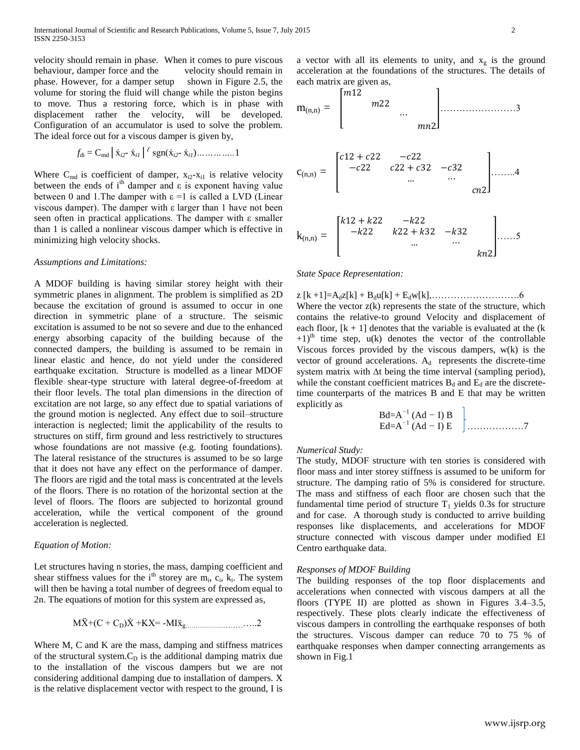velocity should remain in phase. When it comes to pure viscous behaviour, damper force and the velocity should remain in phase. However, for a damper setup shown in Figure 2.5, the volume for storing the fluid will change while the piston begins to move. Thus a restoring force, which is in phase with displacement rather the velocity, will be developed. Configuration of an accumulator is used to solve the problem. The ideal force out for a viscous damper is given by,

$$
f_{di} = C_{md} | \dot{x}_{i2} - \dot{x}_{i1} | \epsilon g_{n}(\dot{x}_{i2} - \dot{x}_{i1}) \dots \dots \dots \dots 1
$$

Where  $C_{\text{md}}$  is coefficient of damper,  $x_{i2}-x_{i1}$  is relative velocity between the ends of i<sup>th</sup> damper and  $\varepsilon$  is exponent having value between 0 and 1. The damper with  $\varepsilon = 1$  is called a LVD (Linear viscous damper). The damper with ε larger than 1 have not been seen often in practical applications. The damper with ε smaller than 1 is called a nonlinear viscous damper which is effective in minimizing high velocity shocks.

#### *Assumptions and Limitations:*

A MDOF building is having similar storey height with their symmetric planes in alignment. The problem is simplified as 2D because the excitation of ground is assumed to occur in one direction in symmetric plane of a structure. The seismic excitation is assumed to be not so severe and due to the enhanced energy absorbing capacity of the building because of the connected dampers, the building is assumed to be remain in linear elastic and hence, do not yield under the considered earthquake excitation. Structure is modelled as a linear MDOF flexible shear-type structure with lateral degree-of-freedom at their floor levels. The total plan dimensions in the direction of excitation are not large, so any effect due to spatial variations of the ground motion is neglected. Any effect due to soil–structure interaction is neglected; limit the applicability of the results to structures on stiff, firm ground and less restrictively to structures whose foundations are not massive (e.g. footing foundations). The lateral resistance of the structures is assumed to be so large that it does not have any effect on the performance of damper. The floors are rigid and the total mass is concentrated at the levels of the floors. There is no rotation of the horizontal section at the level of floors. The floors are subjected to horizontal ground acceleration, while the vertical component of the ground acceleration is neglected.

## *Equation of Motion:*

Let structures having n stories, the mass, damping coefficient and shear stiffness values for the i<sup>th</sup> storey are  $m_i$ ,  $c_i$ ,  $k_i$ . The system will then be having a total number of degrees of freedom equal to 2n. The equations of motion for this system are expressed as,

$$
M\ddot{X} + (C + C_D)\dot{X} + KX = -MI\ddot{x}_{g...}
$$

Where M, C and K are the mass, damping and stiffness matrices of the structural system. $C_D$  is the additional damping matrix due to the installation of the viscous dampers but we are not considering additional damping due to installation of dampers. X is the relative displacement vector with respect to the ground, I is a vector with all its elements to unity, and  $x_g$  is the ground acceleration at the foundations of the structures. The details of each matrix are given as,





## *State Space Representation:*

z  $[k+1]=A_dz[k]+B_du[k]+E_dw[k],$ …………………………………6 Where the vector  $z(k)$  represents the state of the structure, which contains the relative-to ground Velocity and displacement of each floor,  $[k + 1]$  denotes that the variable is evaluated at the  $(k)$  $+1$ <sup>th</sup> time step, u(k) denotes the vector of the controllable Viscous forces provided by the viscous dampers, w(k) is the vector of ground accelerations.  $A_d$  represents the discrete-time system matrix with ∆t being the time interval (sampling period), while the constant coefficient matrices  $B_d$  and  $E_d$  are the discretetime counterparts of the matrices B and E that may be written explicitly as

 Bd=A*<sup>−</sup>*<sup>1</sup> (Ad *−* I) B Ed=A*<sup>−</sup>*<sup>1</sup> (Ad *−* I) E ………………7

## *Numerical Study:*

The study, MDOF structure with ten stories is considered with floor mass and inter storey stiffness is assumed to be uniform for structure. The damping ratio of 5% is considered for structure. The mass and stiffness of each floor are chosen such that the fundamental time period of structure  $T_1$  yields 0.3s for structure and for case. A thorough study is conducted to arrive building responses like displacements, and accelerations for MDOF structure connected with viscous damper under modified El Centro earthquake data.

## *Responses of MDOF Building*

The building responses of the top floor displacements and accelerations when connected with viscous dampers at all the floors (TYPE II) are plotted as shown in Figures 3.4–3.5, respectively. These plots clearly indicate the effectiveness of viscous dampers in controlling the earthquake responses of both the structures. Viscous damper can reduce 70 to 75 % of earthquake responses when damper connecting arrangements as shown in Fig.1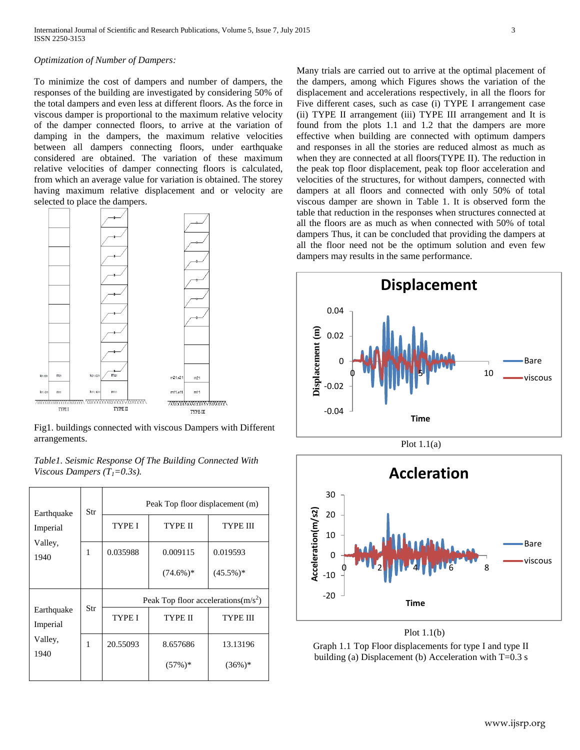## *Optimization of Number of Dampers:*

To minimize the cost of dampers and number of dampers, the responses of the building are investigated by considering 50% of the total dampers and even less at different floors. As the force in viscous damper is proportional to the maximum relative velocity of the damper connected floors, to arrive at the variation of damping in the dampers, the maximum relative velocities between all dampers connecting floors, under earthquake considered are obtained. The variation of these maximum relative velocities of damper connecting floors is calculated, from which an average value for variation is obtained. The storey having maximum relative displacement and or velocity are selected to place the dampers.



Fig1. buildings connected with viscous Dampers with Different arrangements.

| Table1. Seismic Response Of The Building Connected With |  |
|---------------------------------------------------------|--|
| Viscous Dampers $(T1=0.3s)$ .                           |  |

| Str | Peak Top floor displacement (m)        |                         |                         |  |
|-----|----------------------------------------|-------------------------|-------------------------|--|
|     | TYPE I                                 | <b>TYPE II</b>          | <b>TYPE III</b>         |  |
| 1   | 0.035988                               | 0.009115<br>$(74.6\%)*$ | 0.019593<br>$(45.5\%)*$ |  |
|     | Peak Top floor accelerations $(m/s^2)$ |                         |                         |  |
| Str | TYPE I                                 | <b>TYPE II</b>          | <b>TYPE III</b>         |  |
| 1   | 20.55093                               | 8.657686<br>$(57\%)*$   | 13.13196<br>$(36%)$ *   |  |
|     |                                        |                         |                         |  |

Many trials are carried out to arrive at the optimal placement of the dampers, among which Figures shows the variation of the displacement and accelerations respectively, in all the floors for Five different cases, such as case (i) TYPE I arrangement case (ii) TYPE II arrangement (iii) TYPE III arrangement and It is found from the plots 1.1 and 1.2 that the dampers are more effective when building are connected with optimum dampers and responses in all the stories are reduced almost as much as when they are connected at all floors(TYPE II). The reduction in the peak top floor displacement, peak top floor acceleration and velocities of the structures, for without dampers, connected with dampers at all floors and connected with only 50% of total viscous damper are shown in Table 1. It is observed form the table that reduction in the responses when structures connected at all the floors are as much as when connected with 50% of total dampers Thus, it can be concluded that providing the dampers at all the floor need not be the optimum solution and even few dampers may results in the same performance.







Plot 1.1(b)

Graph 1.1 Top Floor displacements for type I and type II building (a) Displacement (b) Acceleration with  $T=0.3$  s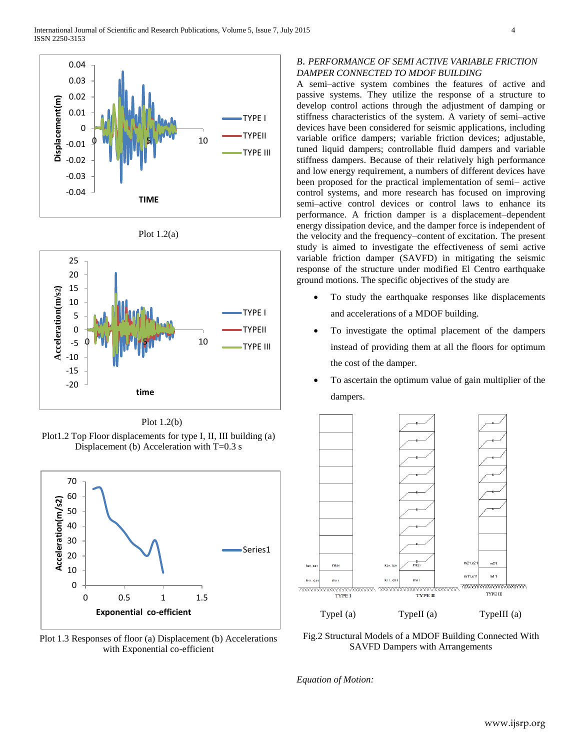







Plot1.2 Top Floor displacements for type I, II, III building (a) Displacement (b) Acceleration with T=0.3 s



Plot 1.3 Responses of floor (a) Displacement (b) Accelerations with Exponential co-efficient

## *B*. *PERFORMANCE OF SEMI ACTIVE VARIABLE FRICTION DAMPER CONNECTED TO MDOF BUILDING*

A semi–active system combines the features of active and passive systems. They utilize the response of a structure to develop control actions through the adjustment of damping or stiffness characteristics of the system. A variety of semi–active devices have been considered for seismic applications, including variable orifice dampers; variable friction devices; adjustable, tuned liquid dampers; controllable fluid dampers and variable stiffness dampers. Because of their relatively high performance and low energy requirement, a numbers of different devices have been proposed for the practical implementation of semi– active control systems, and more research has focused on improving semi–active control devices or control laws to enhance its performance. A friction damper is a displacement–dependent energy dissipation device, and the damper force is independent of the velocity and the frequency–content of excitation. The present study is aimed to investigate the effectiveness of semi active variable friction damper (SAVFD) in mitigating the seismic response of the structure under modified El Centro earthquake ground motions. The specific objectives of the study are

- To study the earthquake responses like displacements and accelerations of a MDOF building.
- To investigate the optimal placement of the dampers instead of providing them at all the floors for optimum the cost of the damper.
- To ascertain the optimum value of gain multiplier of the dampers.



Fig.2 Structural Models of a MDOF Building Connected With SAVFD Dampers with Arrangements

*Equation of Motion:*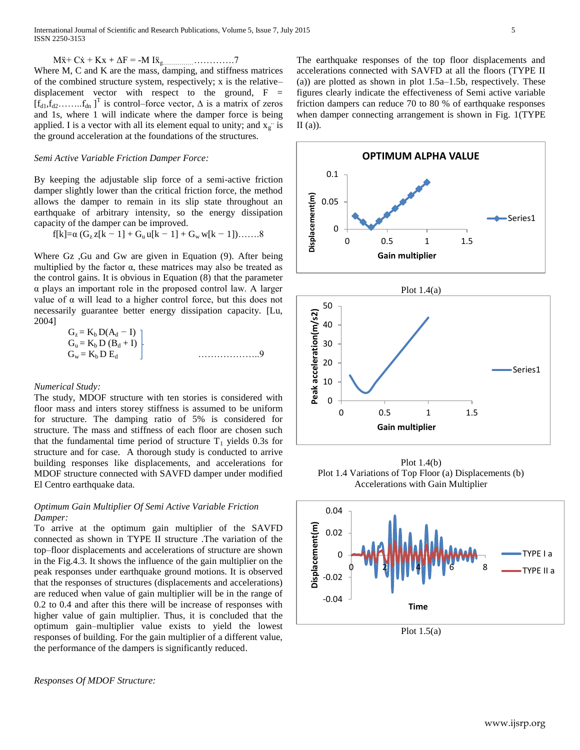$M\ddot{x} + C\dot{x} + Kx + \Delta F = -M I\ddot{x}_{g...}\dots \dots \dots \dots \dots 7$ Where M, C and K are the mass, damping, and stiffness matrices of the combined structure system, respectively; x is the relative– displacement vector with respect to the ground,  $F =$  $[f_{d1}, f_{d2}, \ldots, f_{dn}]^{T}$  is control–force vector,  $\Delta$  is a matrix of zeros and 1s, where 1 will indicate where the damper force is being applied. I is a vector with all its element equal to unity; and  $x_g$  is the ground acceleration at the foundations of the structures.

## *Semi Active Variable Friction Damper Force:*

By keeping the adjustable slip force of a semi-active friction damper slightly lower than the critical friction force, the method allows the damper to remain in its slip state throughout an earthquake of arbitrary intensity, so the energy dissipation capacity of the damper can be improved.

$$
f[k]{=}\alpha\ (G_z\,z[k-1] + G_u\,u[k-1] + G_w\,w[k-1])\ldots\ldots 8
$$

Where Gz ,Gu and Gw are given in Equation (9). After being multiplied by the factor  $\alpha$ , these matrices may also be treated as the control gains. It is obvious in Equation (8) that the parameter α plays an important role in the proposed control law. A larger value of α will lead to a higher control force, but this does not necessarily guarantee better energy dissipation capacity. [Lu, 2004]

| $G_z = K_b D(A_d - I)$  |  |
|-------------------------|--|
| $G_u = K_b D (B_d + I)$ |  |
| $G_w = K_b D E_d$       |  |

#### *Numerical Study:*

The study, MDOF structure with ten stories is considered with floor mass and inters storey stiffness is assumed to be uniform for structure. The damping ratio of 5% is considered for structure. The mass and stiffness of each floor are chosen such that the fundamental time period of structure  $T_1$  yields 0.3s for structure and for case. A thorough study is conducted to arrive building responses like displacements, and accelerations for MDOF structure connected with SAVFD damper under modified El Centro earthquake data.

## *Optimum Gain Multiplier Of Semi Active Variable Friction Damper:*

To arrive at the optimum gain multiplier of the SAVFD connected as shown in TYPE II structure .The variation of the top–floor displacements and accelerations of structure are shown in the Fig.4.3. It shows the influence of the gain multiplier on the peak responses under earthquake ground motions. It is observed that the responses of structures (displacements and accelerations) are reduced when value of gain multiplier will be in the range of 0.2 to 0.4 and after this there will be increase of responses with higher value of gain multiplier. Thus, it is concluded that the optimum gain–multiplier value exists to yield the lowest responses of building. For the gain multiplier of a different value, the performance of the dampers is significantly reduced.

*Responses Of MDOF Structure:*

The earthquake responses of the top floor displacements and accelerations connected with SAVFD at all the floors (TYPE II (a)) are plotted as shown in plot 1.5a–1.5b, respectively. These figures clearly indicate the effectiveness of Semi active variable friction dampers can reduce 70 to 80 % of earthquake responses when damper connecting arrangement is shown in Fig. 1(TYPE  $II (a)$ ).





Plot 1.4(b) Plot 1.4 Variations of Top Floor (a) Displacements (b) Accelerations with Gain Multiplier



Plot  $1.5(a)$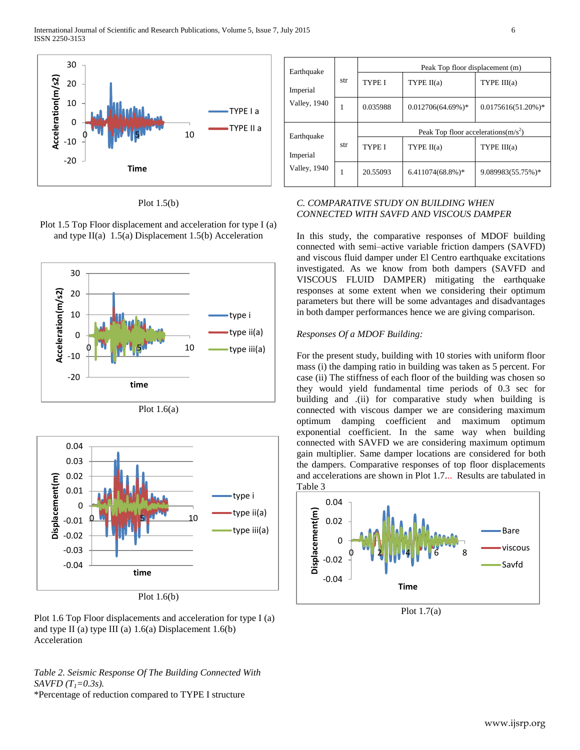

Plot 1.5(b)

Plot 1.5 Top Floor displacement and acceleration for type I (a) and type  $II(a)$  1.5(a) Displacement 1.5(b) Acceleration



Plot  $1.6(a)$ 



Plot 1.6(b)

Plot 1.6 Top Floor displacements and acceleration for type I (a) and type II (a) type III (a) 1.6(a) Displacement 1.6(b) Acceleration

*Table 2. Seismic Response Of The Building Connected With SAVFD (T1=0.3s).* \*Percentage of reduction compared to TYPE I structure

| Earthquake   |     | Peak Top floor displacement (m)        |                      |                       |  |
|--------------|-----|----------------------------------------|----------------------|-----------------------|--|
| Imperial     | str | <b>TYPE I</b>                          | TYPE II(a)           | TYPE III(a)           |  |
| Valley, 1940 | 1   | 0.035988                               | $0.012706(64.69%)$ * | $0.0175616(51.20%)$ * |  |
| Earthquake   |     | Peak Top floor accelerations $(m/s^2)$ |                      |                       |  |
| Imperial     | str | <b>TYPE I</b>                          | TYPE II(a)           | TYPE III(a)           |  |
| Valley, 1940 | 1   | 20.55093                               | $6.411074(68.8\%)*$  | 9.089983(55.75%)*     |  |

# *C. COMPARATIVE STUDY ON BUILDING WHEN CONNECTED WITH SAVFD AND VISCOUS DAMPER*

In this study, the comparative responses of MDOF building connected with semi–active variable friction dampers (SAVFD) and viscous fluid damper under El Centro earthquake excitations investigated. As we know from both dampers (SAVFD and VISCOUS FLUID DAMPER) mitigating the earthquake responses at some extent when we considering their optimum parameters but there will be some advantages and disadvantages in both damper performances hence we are giving comparison.

## *Responses Of a MDOF Building:*

For the present study, building with 10 stories with uniform floor mass (i) the damping ratio in building was taken as 5 percent. For case (ii) The stiffness of each floor of the building was chosen so they would yield fundamental time periods of 0.3 sec for building and .(ii) for comparative study when building is connected with viscous damper we are considering maximum optimum damping coefficient and maximum optimum exponential coefficient. In the same way when building connected with SAVFD we are considering maximum optimum gain multiplier. Same damper locations are considered for both the dampers. Comparative responses of top floor displacements and accelerations are shown in Plot 1.7... Results are tabulated in Table 3



Plot 1.7(a)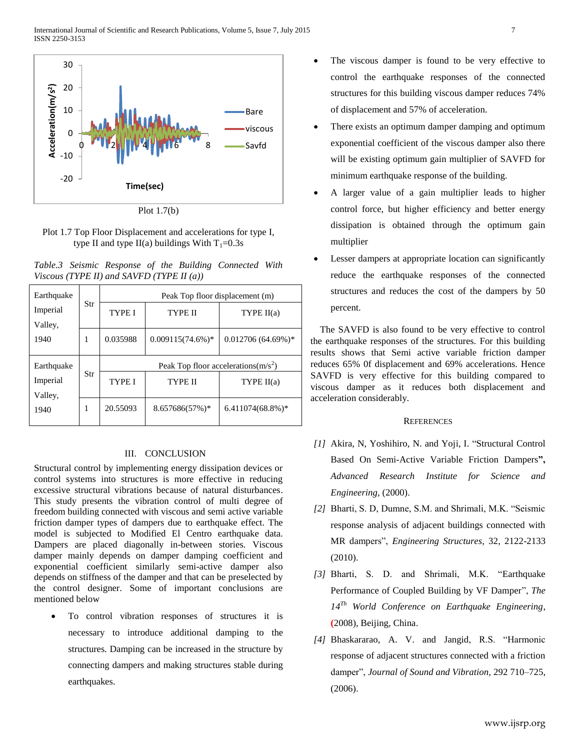

Plot 1.7(b)

Plot 1.7 Top Floor Displacement and accelerations for type I, type II and type II(a) buildings With  $T_1=0.3s$ 

|  |                                              |  | Table.3 Seismic Response of the Building Connected With |  |
|--|----------------------------------------------|--|---------------------------------------------------------|--|
|  | Viscous (TYPE II) and SAVFD (TYPE II $(a)$ ) |  |                                                         |  |

| Earthquake          |        | Peak Top floor displacement (m)        |                     |                      |  |  |
|---------------------|--------|----------------------------------------|---------------------|----------------------|--|--|
| Imperial<br>Valley, | Str    | TYPE I                                 | TYPE II             | TYPE $II(a)$         |  |  |
| 1940                | 1      | 0.035988                               | $0.009115(74.6%)$ * | $0.012706(64.69\%)*$ |  |  |
| Earthquake          |        | Peak Top floor accelerations( $m/s2$ ) |                     |                      |  |  |
| Str<br>Imperial     | TYPE I | TYPE II                                | TYPE $II(a)$        |                      |  |  |
| Valley,             |        |                                        |                     |                      |  |  |

## III. CONCLUSION

Structural control by implementing energy dissipation devices or control systems into structures is more effective in reducing excessive structural vibrations because of natural disturbances. This study presents the vibration control of multi degree of freedom building connected with viscous and semi active variable friction damper types of dampers due to earthquake effect. The model is subjected to Modified El Centro earthquake data. Dampers are placed diagonally in-between stories. Viscous damper mainly depends on damper damping coefficient and exponential coefficient similarly semi-active damper also depends on stiffness of the damper and that can be preselected by the control designer. Some of important conclusions are mentioned below

 To control vibration responses of structures it is necessary to introduce additional damping to the structures. Damping can be increased in the structure by connecting dampers and making structures stable during earthquakes.

- The viscous damper is found to be very effective to control the earthquake responses of the connected structures for this building viscous damper reduces 74% of displacement and 57% of acceleration.
- There exists an optimum damper damping and optimum exponential coefficient of the viscous damper also there will be existing optimum gain multiplier of SAVFD for minimum earthquake response of the building.
- A larger value of a gain multiplier leads to higher control force, but higher efficiency and better energy dissipation is obtained through the optimum gain multiplier
- Lesser dampers at appropriate location can significantly reduce the earthquake responses of the connected structures and reduces the cost of the dampers by 50 percent.

The SAVFD is also found to be very effective to control the earthquake responses of the structures. For this building results shows that Semi active variable friction damper reduces 65% 0f displacement and 69% accelerations. Hence SAVFD is very effective for this building compared to viscous damper as it reduces both displacement and acceleration considerably.

## **REFERENCES**

- *[1]* Akira, N, Yoshihiro, N. and Yoji, I. "Structural Control Based On Semi-Active Variable Friction Dampers**",** *Advanced Research Institute for Science and Engineering,* (2000).
- *[2]* Bharti, S. D, Dumne, S.M. and Shrimali, M.K. "Seismic response analysis of adjacent buildings connected with MR dampers", *Engineering Structures*, 32, 2122-2133 (2010).
- *[3]* Bharti, S. D. and Shrimali, M.K. "Earthquake Performance of Coupled Building by VF Damper", *The 14Th World Conference on Earthquake Engineering*, **(**2008), Beijing, China.
- *[4]* Bhaskararao, A. V. and Jangid, R.S. "Harmonic response of adjacent structures connected with a friction damper", *Journal of Sound and Vibration,* 292 710–725, (2006).